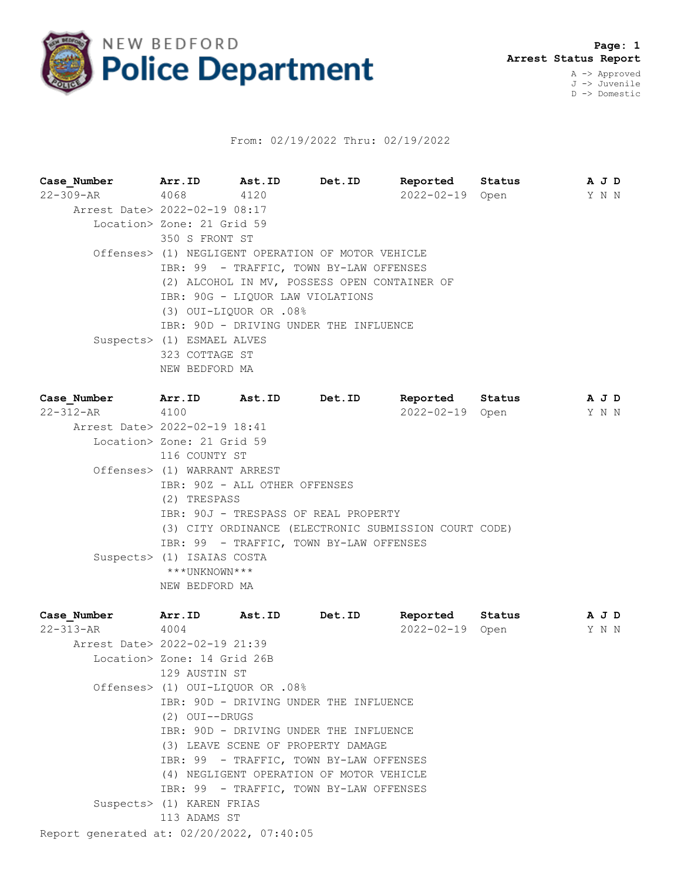

## From: 02/19/2022 Thru: 02/19/2022

| Case Number Arr. ID Ast. ID                            |                                                                                                  |  | Det.ID | Reported Status |                 | A J D        |  |  |  |  |  |
|--------------------------------------------------------|--------------------------------------------------------------------------------------------------|--|--------|-----------------|-----------------|--------------|--|--|--|--|--|
| 22-309-AR 4068 4120                                    |                                                                                                  |  |        |                 | 2022-02-19 Open | Y N N        |  |  |  |  |  |
| Arrest Date> 2022-02-19 08:17                          |                                                                                                  |  |        |                 |                 |              |  |  |  |  |  |
|                                                        | Location> Zone: 21 Grid 59                                                                       |  |        |                 |                 |              |  |  |  |  |  |
|                                                        | 350 S FRONT ST                                                                                   |  |        |                 |                 |              |  |  |  |  |  |
|                                                        | Offenses> (1) NEGLIGENT OPERATION OF MOTOR VEHICLE                                               |  |        |                 |                 |              |  |  |  |  |  |
|                                                        | IBR: 99 - TRAFFIC, TOWN BY-LAW OFFENSES                                                          |  |        |                 |                 |              |  |  |  |  |  |
|                                                        | (2) ALCOHOL IN MV, POSSESS OPEN CONTAINER OF                                                     |  |        |                 |                 |              |  |  |  |  |  |
|                                                        | IBR: 90G - LIQUOR LAW VIOLATIONS                                                                 |  |        |                 |                 |              |  |  |  |  |  |
|                                                        | (3) OUI-LIQUOR OR .08%                                                                           |  |        |                 |                 |              |  |  |  |  |  |
|                                                        | IBR: 90D - DRIVING UNDER THE INFLUENCE                                                           |  |        |                 |                 |              |  |  |  |  |  |
|                                                        | Suspects> (1) ESMAEL ALVES                                                                       |  |        |                 |                 |              |  |  |  |  |  |
|                                                        | 323 COTTAGE ST                                                                                   |  |        |                 |                 |              |  |  |  |  |  |
|                                                        | NEW BEDFORD MA                                                                                   |  |        |                 |                 |              |  |  |  |  |  |
|                                                        |                                                                                                  |  |        |                 |                 |              |  |  |  |  |  |
| Case Number Marr. ID Ast. ID Det. ID<br>22-312-AR 4100 |                                                                                                  |  |        |                 | Reported Status | AJD<br>Y N N |  |  |  |  |  |
| Arrest Date> 2022-02-19 18:41                          |                                                                                                  |  |        |                 | 2022-02-19 Open |              |  |  |  |  |  |
|                                                        |                                                                                                  |  |        |                 |                 |              |  |  |  |  |  |
|                                                        | Location> Zone: 21 Grid 59                                                                       |  |        |                 |                 |              |  |  |  |  |  |
|                                                        | 116 COUNTY ST                                                                                    |  |        |                 |                 |              |  |  |  |  |  |
|                                                        | Offenses> (1) WARRANT ARREST<br>IBR: 90Z - ALL OTHER OFFENSES                                    |  |        |                 |                 |              |  |  |  |  |  |
|                                                        |                                                                                                  |  |        |                 |                 |              |  |  |  |  |  |
|                                                        | (2) TRESPASS<br>IBR: 90J - TRESPASS OF REAL PROPERTY                                             |  |        |                 |                 |              |  |  |  |  |  |
|                                                        |                                                                                                  |  |        |                 |                 |              |  |  |  |  |  |
|                                                        | (3) CITY ORDINANCE (ELECTRONIC SUBMISSION COURT CODE)<br>IBR: 99 - TRAFFIC, TOWN BY-LAW OFFENSES |  |        |                 |                 |              |  |  |  |  |  |
|                                                        |                                                                                                  |  |        |                 |                 |              |  |  |  |  |  |
|                                                        | Suspects> (1) ISAIAS COSTA<br>***UNKNOWN***                                                      |  |        |                 |                 |              |  |  |  |  |  |
|                                                        |                                                                                                  |  |        |                 |                 |              |  |  |  |  |  |
|                                                        | NEW BEDFORD MA                                                                                   |  |        |                 |                 |              |  |  |  |  |  |

| Case Number Marr.ID Ast.ID                |                                        |  | Det.ID                                   | Reported Status |  |       | AJD |  |  |
|-------------------------------------------|----------------------------------------|--|------------------------------------------|-----------------|--|-------|-----|--|--|
| 22-313-AR 4004                            |                                        |  |                                          | 2022-02-19 Open |  | Y N N |     |  |  |
| Arrest Date> 2022-02-19 21:39             |                                        |  |                                          |                 |  |       |     |  |  |
|                                           | Location> Zone: 14 Grid 26B            |  |                                          |                 |  |       |     |  |  |
|                                           | 129 AUSTIN ST                          |  |                                          |                 |  |       |     |  |  |
|                                           | Offenses> (1) OUI-LIOUOR OR .08%       |  |                                          |                 |  |       |     |  |  |
|                                           | IBR: 90D - DRIVING UNDER THE INFLUENCE |  |                                          |                 |  |       |     |  |  |
|                                           | $(2)$ OUI--DRUGS                       |  |                                          |                 |  |       |     |  |  |
|                                           | IBR: 90D - DRIVING UNDER THE INFLUENCE |  |                                          |                 |  |       |     |  |  |
|                                           | (3) LEAVE SCENE OF PROPERTY DAMAGE     |  |                                          |                 |  |       |     |  |  |
|                                           |                                        |  | IBR: 99 - TRAFFIC, TOWN BY-LAW OFFENSES  |                 |  |       |     |  |  |
|                                           |                                        |  | (4) NEGLIGENT OPERATION OF MOTOR VEHICLE |                 |  |       |     |  |  |
|                                           |                                        |  | IBR: 99 - TRAFFIC, TOWN BY-LAW OFFENSES  |                 |  |       |     |  |  |
|                                           | Suspects> (1) KAREN FRIAS              |  |                                          |                 |  |       |     |  |  |
|                                           | 113 ADAMS ST                           |  |                                          |                 |  |       |     |  |  |
| Report generated at: 02/20/2022, 07:40:05 |                                        |  |                                          |                 |  |       |     |  |  |